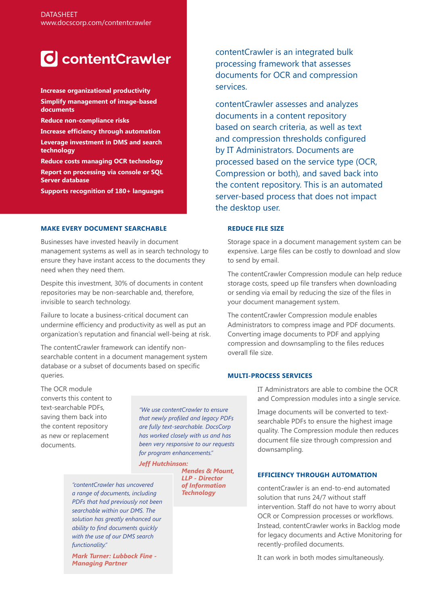# **T** contentCrawler

**Increase organizational productivity Simplify management of image-based documents**

- **Reduce non-compliance risks**
- **Increase efficiency through automation**

**Leverage investment in DMS and search technology**

**Reduce costs managing OCR technology Report on processing via console or SQL Server database**

**Supports recognition of 180+ languages**

## **MAKE EVERY DOCUMENT SEARCHABLE**

Businesses have invested heavily in document management systems as well as in search technology to ensure they have instant access to the documents they need when they need them.

Despite this investment, 30% of documents in content repositories may be non-searchable and, therefore, invisible to search technology.

Failure to locate a business-critical document can undermine efficiency and productivity as well as put an organization's reputation and financial well-being at risk.

The contentCrawler framework can identify nonsearchable content in a document management system database or a subset of documents based on specific queries.

The OCR module converts this content to text-searchable PDFs, saving them back into the content repository as new or replacement documents.

*"We use contentCrawler to ensure that newly profiled and legacy PDFs are fully text-searchable. DocsCorp has worked closely with us and has been very responsive to our requests for program enhancements."*

*Jeff Hutchinson:* 

*Mendes & Mount, LLP - Director of Information Technology*

*"contentCrawler has uncovered a range of documents, including PDFs that had previously not been searchable within our DMS. The solution has greatly enhanced our ability to find documents quickly with the use of our DMS search* 

*functionality." Mark Turner: Lubbock Fine - Managing Partner*

contentCrawler is an integrated bulk processing framework that assesses documents for OCR and compression services.

contentCrawler assesses and analyzes documents in a content repository based on search criteria, as well as text and compression thresholds configured by IT Administrators. Documents are processed based on the service type (OCR, Compression or both), and saved back into the content repository. This is an automated server-based process that does not impact the desktop user.

### **REDUCE FILE SIZE**

Storage space in a document management system can be expensive. Large files can be costly to download and slow to send by email.

The contentCrawler Compression module can help reduce storage costs, speed up file transfers when downloading or sending via email by reducing the size of the files in your document management system.

The contentCrawler Compression module enables Administrators to compress image and PDF documents. Converting image documents to PDF and applying compression and downsampling to the files reduces overall file size.

# **MULTI-PROCESS SERVICES**

IT Administrators are able to combine the OCR and Compression modules into a single service.

Image documents will be converted to textsearchable PDFs to ensure the highest image quality. The Compression module then reduces document file size through compression and downsampling.

## **EFFICIENCY THROUGH AUTOMATION**

contentCrawler is an end-to-end automated solution that runs 24/7 without staff intervention. Staff do not have to worry about OCR or Compression processes or workflows. Instead, contentCrawler works in Backlog mode for legacy documents and Active Monitoring for recently-profiled documents.

It can work in both modes simultaneously.